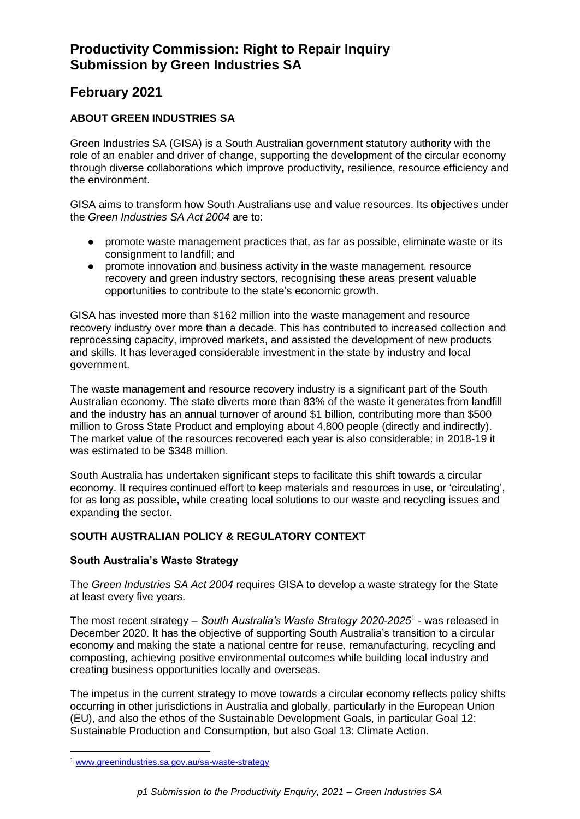# **February 2021**

## **ABOUT GREEN INDUSTRIES SA**

Green Industries SA (GISA) is a South Australian government statutory authority with the role of an enabler and driver of change, supporting the development of the circular economy through diverse collaborations which improve productivity, resilience, resource efficiency and the environment.

GISA aims to transform how South Australians use and value resources. Its objectives under the *Green Industries SA Act 2004* are to:

- promote waste management practices that, as far as possible, eliminate waste or its consignment to landfill; and
- promote innovation and business activity in the waste management, resource recovery and green industry sectors, recognising these areas present valuable opportunities to contribute to the state's economic growth.

GISA has invested more than \$162 million into the waste management and resource recovery industry over more than a decade. This has contributed to increased collection and reprocessing capacity, improved markets, and assisted the development of new products and skills. It has leveraged considerable investment in the state by industry and local government.

The waste management and resource recovery industry is a significant part of the South Australian economy. The state diverts more than 83% of the waste it generates from landfill and the industry has an annual turnover of around \$1 billion, contributing more than \$500 million to Gross State Product and employing about 4,800 people (directly and indirectly). The market value of the resources recovered each year is also considerable: in 2018-19 it was estimated to be \$348 million.

South Australia has undertaken significant steps to facilitate this shift towards a circular economy. It requires continued effort to keep materials and resources in use, or 'circulating', for as long as possible, while creating local solutions to our waste and recycling issues and expanding the sector.

## **SOUTH AUSTRALIAN POLICY & REGULATORY CONTEXT**

## **South Australia's Waste Strategy**

The *Green Industries SA Act 2004* requires GISA to develop a waste strategy for the State at least every five years.

The most recent strategy – *South Australia's Waste Strategy 2020-2025*<sup>1</sup> - was released in December 2020. It has the objective of supporting South Australia's transition to a circular economy and making the state a national centre for reuse, remanufacturing, recycling and composting, achieving positive environmental outcomes while building local industry and creating business opportunities locally and overseas.

The impetus in the current strategy to move towards a circular economy reflects policy shifts occurring in other jurisdictions in Australia and globally, particularly in the European Union (EU), and also the ethos of the Sustainable Development Goals, in particular Goal 12: Sustainable Production and Consumption, but also Goal 13: Climate Action.

<sup>1</sup> [www.greenindustries.sa.gov.au/sa-waste-strategy](http://www.greenindustries.sa.gov.au/sa-waste-strategy)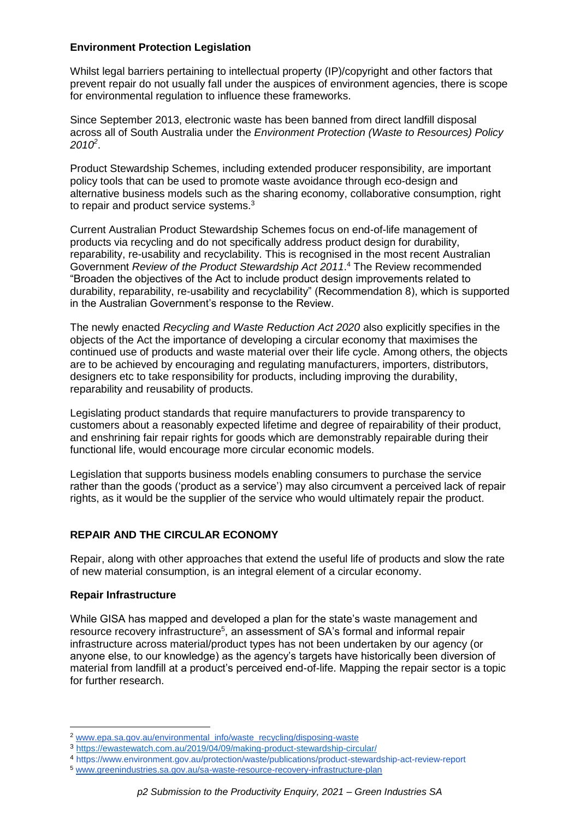## **Environment Protection Legislation**

Whilst legal barriers pertaining to intellectual property (IP)/copyright and other factors that prevent repair do not usually fall under the auspices of environment agencies, there is scope for environmental regulation to influence these frameworks.

Since September 2013, electronic waste has been banned from direct landfill disposal across all of South Australia under the *Environment Protection (Waste to Resources) Policy 2010<sup>2</sup>* .

Product Stewardship Schemes, including extended producer responsibility, are important policy tools that can be used to promote waste avoidance through eco-design and alternative business models such as the sharing economy, collaborative consumption, right to repair and product service systems.<sup>3</sup>

Current Australian Product Stewardship Schemes focus on end-of-life management of products via recycling and do not specifically address product design for durability, reparability, re-usability and recyclability. This is recognised in the most recent Australian Government *Review of the Product Stewardship Act 2011*. <sup>4</sup> The Review recommended "Broaden the objectives of the Act to include product design improvements related to durability, reparability, re-usability and recyclability" (Recommendation 8), which is supported in the Australian Government's response to the Review.

The newly enacted *Recycling and Waste Reduction Act 2020* also explicitly specifies in the objects of the Act the importance of developing a circular economy that maximises the continued use of products and waste material over their life cycle. Among others, the objects are to be achieved by encouraging and regulating manufacturers, importers, distributors, designers etc to take responsibility for products, including improving the durability, reparability and reusability of products.

Legislating product standards that require manufacturers to provide transparency to customers about a reasonably expected lifetime and degree of repairability of their product, and enshrining fair repair rights for goods which are demonstrably repairable during their functional life, would encourage more circular economic models.

Legislation that supports business models enabling consumers to purchase the service rather than the goods ('product as a service') may also circumvent a perceived lack of repair rights, as it would be the supplier of the service who would ultimately repair the product.

## **REPAIR AND THE CIRCULAR ECONOMY**

Repair, along with other approaches that extend the useful life of products and slow the rate of new material consumption, is an integral element of a circular economy.

## **Repair Infrastructure**

While GISA has mapped and developed a plan for the state's waste management and resource recovery infrastructure<sup>5</sup>, an assessment of SA's formal and informal repair infrastructure across material/product types has not been undertaken by our agency (or anyone else, to our knowledge) as the agency's targets have historically been diversion of material from landfill at a product's perceived end-of-life. Mapping the repair sector is a topic for further research.

**<sup>.</sup>** <sup>2</sup> [www.epa.sa.gov.au/environmental\\_info/waste\\_recycling/disposing-waste](https://www.epa.sa.gov.au/environmental_info/waste_recycling/disposing-waste)

<sup>3</sup> <https://ewastewatch.com.au/2019/04/09/making-product-stewardship-circular/>

<sup>4</sup> <https://www.environment.gov.au/protection/waste/publications/product-stewardship-act-review-report>

<sup>5</sup> [www.greenindustries.sa.gov.au/sa-waste-resource-recovery-infrastructure-plan](https://www.greenindustries.sa.gov.au/sa-waste-resource-recovery-infrastructure-plan)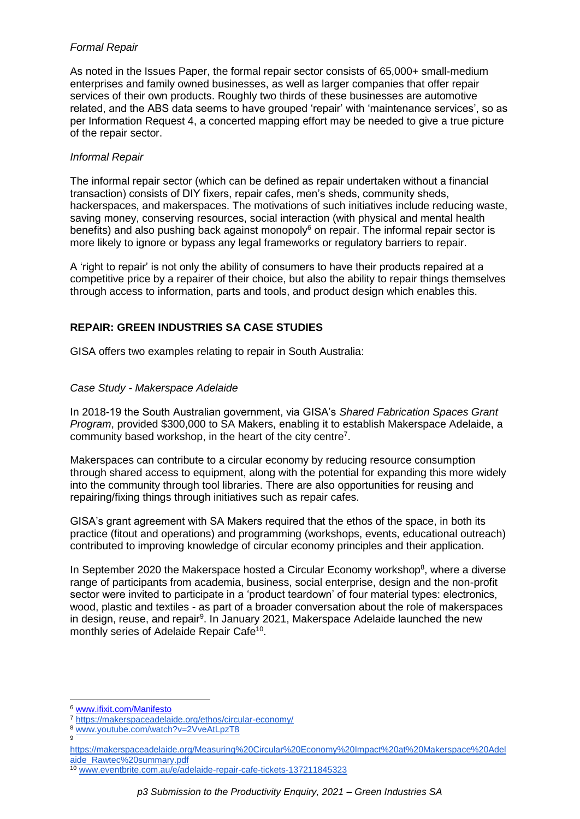## *Formal Repair*

As noted in the Issues Paper, the formal repair sector consists of 65,000+ small-medium enterprises and family owned businesses, as well as larger companies that offer repair services of their own products. Roughly two thirds of these businesses are automotive related, and the ABS data seems to have grouped 'repair' with 'maintenance services', so as per Information Request 4, a concerted mapping effort may be needed to give a true picture of the repair sector.

#### *Informal Repair*

The informal repair sector (which can be defined as repair undertaken without a financial transaction) consists of DIY fixers, repair cafes, men's sheds, community sheds, hackerspaces, and makerspaces. The motivations of such initiatives include reducing waste, saving money, conserving resources, social interaction (with physical and mental health benefits) and also pushing back against monopoly<sup>6</sup> on repair. The informal repair sector is more likely to ignore or bypass any legal frameworks or regulatory barriers to repair.

A 'right to repair' is not only the ability of consumers to have their products repaired at a competitive price by a repairer of their choice, but also the ability to repair things themselves through access to information, parts and tools, and product design which enables this.

## **REPAIR: GREEN INDUSTRIES SA CASE STUDIES**

GISA offers two examples relating to repair in South Australia:

## *Case Study - Makerspace Adelaide*

In 2018-19 the South Australian government, via GISA's *Shared Fabrication Spaces Grant Program*, provided \$300,000 to SA Makers, enabling it to establish Makerspace Adelaide, a community based workshop, in the heart of the city centre<sup>7</sup>.

Makerspaces can contribute to a circular economy by reducing resource consumption through shared access to equipment, along with the potential for expanding this more widely into the community through tool libraries. There are also opportunities for reusing and repairing/fixing things through initiatives such as repair cafes.

GISA's grant agreement with SA Makers required that the ethos of the space, in both its practice (fitout and operations) and programming (workshops, events, educational outreach) contributed to improving knowledge of circular economy principles and their application.

In September 2020 the Makerspace hosted a Circular Economy workshop<sup>8</sup>, where a diverse range of participants from academia, business, social enterprise, design and the non-profit sector were invited to participate in a 'product teardown' of four material types: electronics, wood, plastic and textiles - as part of a broader conversation about the role of makerspaces in design, reuse, and repair<sup>9</sup>. In January 2021, Makerspace Adelaide launched the new monthly series of Adelaide Repair Cafe<sup>10</sup>.

<sup>6</sup> [www.ifixit.com/Manifesto](http://www.ifixit.com/Manifesto)

<sup>7</sup> <https://makerspaceadelaide.org/ethos/circular-economy/>

<sup>8</sup> [www.youtube.com/watch?v=2VveAtLpzT8](https://www.youtube.com/watch?v=2VveAtLpzT8)

[https://makerspaceadelaide.org/Measuring%20Circular%20Economy%20Impact%20at%20Makerspace%20Adel](https://makerspaceadelaide.org/Measuring%20Circular%20Economy%20Impact%20at%20Makerspace%20Adelaide_Rawtec%20summary.pdf) [aide\\_Rawtec%20summary.pdf](https://makerspaceadelaide.org/Measuring%20Circular%20Economy%20Impact%20at%20Makerspace%20Adelaide_Rawtec%20summary.pdf)

<sup>10</sup> [www.eventbrite.com.au/e/adelaide-repair-cafe-tickets-137211845323](https://www.eventbrite.com.au/e/adelaide-repair-cafe-tickets-137211845323)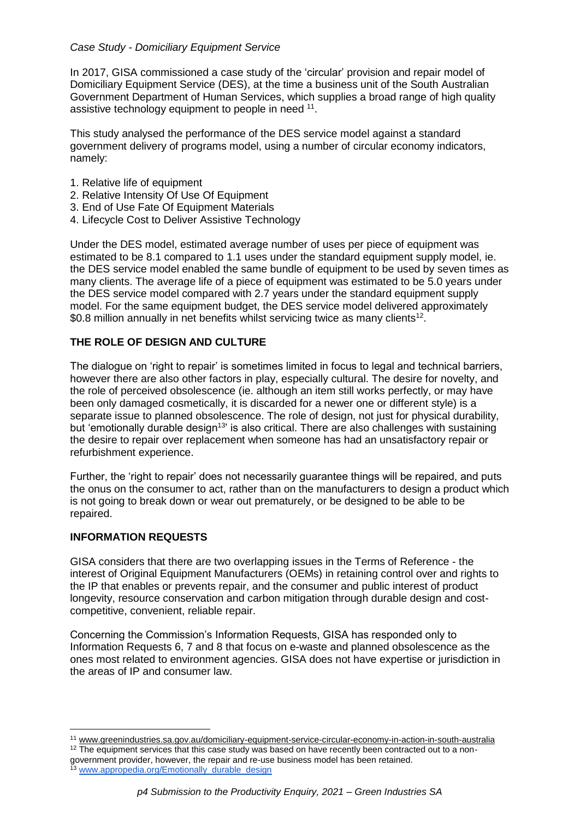## *Case Study - Domiciliary Equipment Service*

In 2017, GISA commissioned a case study of the 'circular' provision and repair model of Domiciliary Equipment Service (DES), at the time a business unit of the South Australian Government Department of Human Services, which supplies a broad range of high quality assistive technology equipment to people in need <sup>11</sup>.

This study analysed the performance of the DES service model against a standard government delivery of programs model, using a number of circular economy indicators, namely:

- 1. Relative life of equipment
- 2. Relative Intensity Of Use Of Equipment
- 3. End of Use Fate Of Equipment Materials
- 4. Lifecycle Cost to Deliver Assistive Technology

Under the DES model, estimated average number of uses per piece of equipment was estimated to be 8.1 compared to 1.1 uses under the standard equipment supply model, ie. the DES service model enabled the same bundle of equipment to be used by seven times as many clients. The average life of a piece of equipment was estimated to be 5.0 years under the DES service model compared with 2.7 years under the standard equipment supply model. For the same equipment budget, the DES service model delivered approximately \$0.8 million annually in net benefits whilst servicing twice as many clients<sup>12</sup>.

## **THE ROLE OF DESIGN AND CULTURE**

The dialogue on 'right to repair' is sometimes limited in focus to legal and technical barriers, however there are also other factors in play, especially cultural. The desire for novelty, and the role of perceived obsolescence (ie. although an item still works perfectly, or may have been only damaged cosmetically, it is discarded for a newer one or different style) is a separate issue to planned obsolescence. The role of design, not just for physical durability, but 'emotionally durable design<sup>13</sup>' is also critical. There are also challenges with sustaining the desire to repair over replacement when someone has had an unsatisfactory repair or refurbishment experience.

Further, the 'right to repair' does not necessarily guarantee things will be repaired, and puts the onus on the consumer to act, rather than on the manufacturers to design a product which is not going to break down or wear out prematurely, or be designed to be able to be repaired.

## **INFORMATION REQUESTS**

1

GISA considers that there are two overlapping issues in the Terms of Reference - the interest of Original Equipment Manufacturers (OEMs) in retaining control over and rights to the IP that enables or prevents repair, and the consumer and public interest of product longevity, resource conservation and carbon mitigation through durable design and costcompetitive, convenient, reliable repair.

Concerning the Commission's Information Requests, GISA has responded only to Information Requests 6, 7 and 8 that focus on e-waste and planned obsolescence as the ones most related to environment agencies. GISA does not have expertise or jurisdiction in the areas of IP and consumer law.

<sup>11</sup> [www.greenindustries.sa.gov.au/domiciliary-equipment-service-circular-economy-in-action-in-south-australia](https://www.greenindustries.sa.gov.au/domiciliary-equipment-service-circular-economy-in-action-in-south-australia)

<sup>&</sup>lt;sup>12</sup> The equipment services that this case study was based on have recently been contracted out to a nongovernment provider, however, the repair and re-use business model has been retained. 13 [www.appropedia.org/Emotionally\\_durable\\_design](https://www.appropedia.org/Emotionally_durable_design)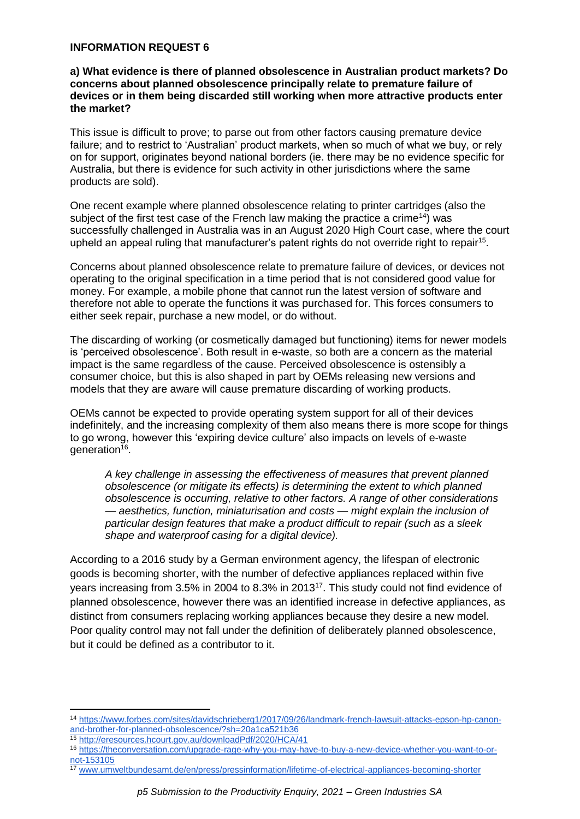#### **INFORMATION REQUEST 6**

#### **a) What evidence is there of planned obsolescence in Australian product markets? Do concerns about planned obsolescence principally relate to premature failure of devices or in them being discarded still working when more attractive products enter the market?**

This issue is difficult to prove; to parse out from other factors causing premature device failure; and to restrict to 'Australian' product markets, when so much of what we buy, or rely on for support, originates beyond national borders (ie. there may be no evidence specific for Australia, but there is evidence for such activity in other jurisdictions where the same products are sold).

One recent example where planned obsolescence relating to printer cartridges (also the subject of the first test case of the French law making the practice a crime<sup>14</sup>) was successfully challenged in Australia was in an August 2020 High Court case, where the court upheld an appeal ruling that manufacturer's patent rights do not override right to repair<sup>15</sup>.

Concerns about planned obsolescence relate to premature failure of devices, or devices not operating to the original specification in a time period that is not considered good value for money. For example, a mobile phone that cannot run the latest version of software and therefore not able to operate the functions it was purchased for. This forces consumers to either seek repair, purchase a new model, or do without.

The discarding of working (or cosmetically damaged but functioning) items for newer models is 'perceived obsolescence'. Both result in e-waste, so both are a concern as the material impact is the same regardless of the cause. Perceived obsolescence is ostensibly a consumer choice, but this is also shaped in part by OEMs releasing new versions and models that they are aware will cause premature discarding of working products.

OEMs cannot be expected to provide operating system support for all of their devices indefinitely, and the increasing complexity of them also means there is more scope for things to go wrong, however this 'expiring device culture' also impacts on levels of e-waste generation<sup>16</sup>.

*A key challenge in assessing the effectiveness of measures that prevent planned obsolescence (or mitigate its effects) is determining the extent to which planned obsolescence is occurring, relative to other factors. A range of other considerations — aesthetics, function, miniaturisation and costs — might explain the inclusion of particular design features that make a product difficult to repair (such as a sleek shape and waterproof casing for a digital device).*

According to a 2016 study by a German environment agency, the lifespan of electronic goods is becoming shorter, with the number of defective appliances replaced within five years increasing from 3.5% in 2004 to 8.3% in 2013<sup>17</sup>. This study could not find evidence of planned obsolescence, however there was an identified increase in defective appliances, as distinct from consumers replacing working appliances because they desire a new model. Poor quality control may not fall under the definition of deliberately planned obsolescence, but it could be defined as a contributor to it.

**.** 

<sup>14</sup> [https://www.forbes.com/sites/davidschrieberg1/2017/09/26/landmark-french-lawsuit-attacks-epson-hp-canon](https://www.forbes.com/sites/davidschrieberg1/2017/09/26/landmark-french-lawsuit-attacks-epson-hp-canon-and-brother-for-planned-obsolescence/?sh=20a1ca521b36)[and-brother-for-planned-obsolescence/?sh=20a1ca521b36](https://www.forbes.com/sites/davidschrieberg1/2017/09/26/landmark-french-lawsuit-attacks-epson-hp-canon-and-brother-for-planned-obsolescence/?sh=20a1ca521b36)

<sup>15</sup> <http://eresources.hcourt.gov.au/downloadPdf/2020/HCA/41>

<sup>16</sup> [https://theconversation.com/upgrade-rage-why-you-may-have-to-buy-a-new-device-whether-you-want-to-or](https://theconversation.com/upgrade-rage-why-you-may-have-to-buy-a-new-device-whether-you-want-to-or-not-153105)[not-153105](https://theconversation.com/upgrade-rage-why-you-may-have-to-buy-a-new-device-whether-you-want-to-or-not-153105)

<sup>17</sup> [www.umweltbundesamt.de/en/press/pressinformation/lifetime-of-electrical-appliances-becoming-shorter](http://www.umweltbundesamt.de/en/press/pressinformation/lifetime-of-electrical-appliances-becoming-shorter)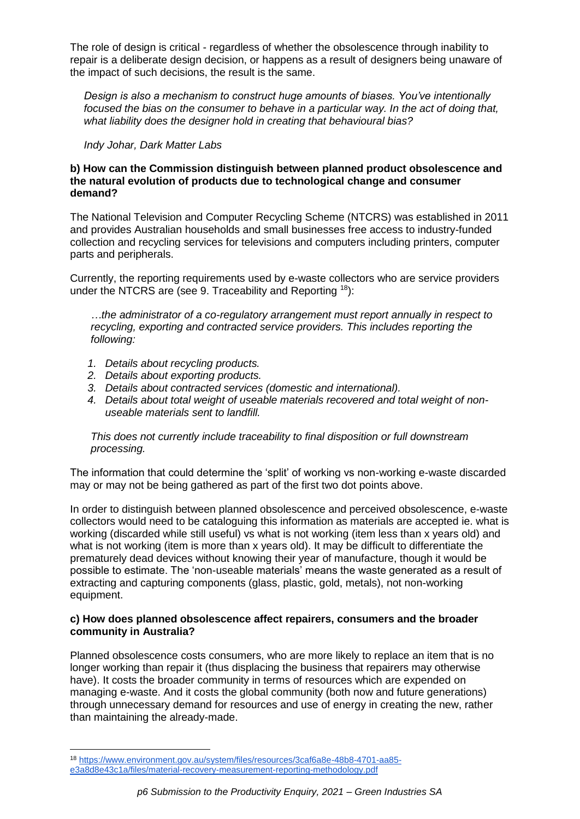The role of design is critical - regardless of whether the obsolescence through inability to repair is a deliberate design decision, or happens as a result of designers being unaware of the impact of such decisions, the result is the same.

*Design is also a mechanism to construct huge amounts of biases. You've intentionally focused the bias on the consumer to behave in a particular way. In the act of doing that, what liability does the designer hold in creating that behavioural bias?* 

*Indy Johar, Dark Matter Labs*

### **b) How can the Commission distinguish between planned product obsolescence and the natural evolution of products due to technological change and consumer demand?**

The National Television and Computer Recycling Scheme (NTCRS) was established in 2011 and provides Australian households and small businesses free access to industry-funded collection and recycling services for televisions and computers including printers, computer parts and peripherals.

Currently, the reporting requirements used by e-waste collectors who are service providers under the NTCRS are (see 9. Traceability and Reporting  $18$ ):

*…the administrator of a co-regulatory arrangement must report annually in respect to recycling, exporting and contracted service providers. This includes reporting the following:* 

- *1. Details about recycling products.*
- *2. Details about exporting products.*
- *3. Details about contracted services (domestic and international).*
- *4. Details about total weight of useable materials recovered and total weight of nonuseable materials sent to landfill.*

#### *This does not currently include traceability to final disposition or full downstream processing.*

The information that could determine the 'split' of working vs non-working e-waste discarded may or may not be being gathered as part of the first two dot points above.

In order to distinguish between planned obsolescence and perceived obsolescence, e-waste collectors would need to be cataloguing this information as materials are accepted ie. what is working (discarded while still useful) vs what is not working (item less than x years old) and what is not working (item is more than x years old). It may be difficult to differentiate the prematurely dead devices without knowing their year of manufacture, though it would be possible to estimate. The 'non-useable materials' means the waste generated as a result of extracting and capturing components (glass, plastic, gold, metals), not non-working equipment.

#### **c) How does planned obsolescence affect repairers, consumers and the broader community in Australia?**

Planned obsolescence costs consumers, who are more likely to replace an item that is no longer working than repair it (thus displacing the business that repairers may otherwise have). It costs the broader community in terms of resources which are expended on managing e-waste. And it costs the global community (both now and future generations) through unnecessary demand for resources and use of energy in creating the new, rather than maintaining the already-made.

 $\overline{a}$ 

<sup>18</sup> [https://www.environment.gov.au/system/files/resources/3caf6a8e-48b8-4701-aa85](https://www.environment.gov.au/system/files/resources/3caf6a8e-48b8-4701-aa85-e3a8d8e43c1a/files/material-recovery-measurement-reporting-methodology.pdf) [e3a8d8e43c1a/files/material-recovery-measurement-reporting-methodology.pdf](https://www.environment.gov.au/system/files/resources/3caf6a8e-48b8-4701-aa85-e3a8d8e43c1a/files/material-recovery-measurement-reporting-methodology.pdf)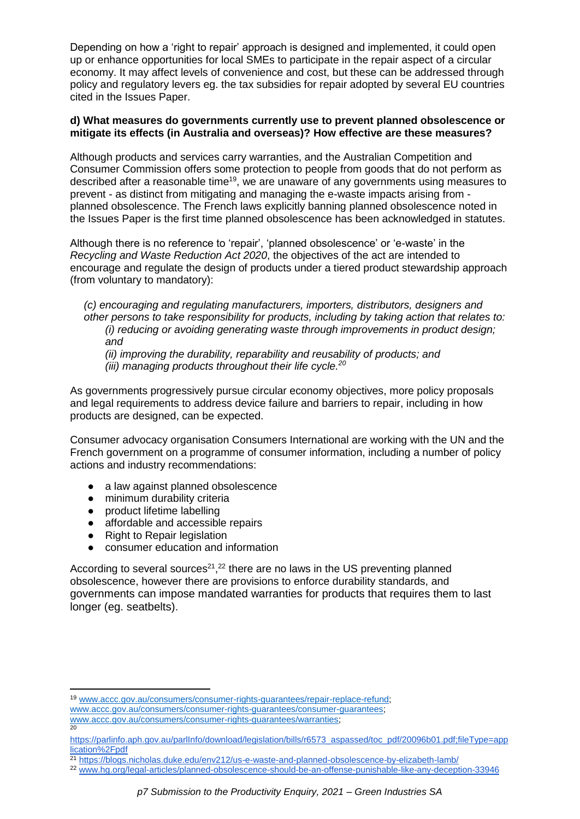Depending on how a 'right to repair' approach is designed and implemented, it could open up or enhance opportunities for local SMEs to participate in the repair aspect of a circular economy. It may affect levels of convenience and cost, but these can be addressed through policy and regulatory levers eg. the tax subsidies for repair adopted by several EU countries cited in the Issues Paper.

## **d) What measures do governments currently use to prevent planned obsolescence or mitigate its effects (in Australia and overseas)? How effective are these measures?**

Although products and services carry warranties, and the Australian Competition and Consumer Commission offers some protection to people from goods that do not perform as described after a reasonable time<sup>19</sup>, we are unaware of any governments using measures to prevent - as distinct from mitigating and managing the e-waste impacts arising from planned obsolescence. The French laws explicitly banning planned obsolescence noted in the Issues Paper is the first time planned obsolescence has been acknowledged in statutes.

Although there is no reference to 'repair', 'planned obsolescence' or 'e-waste' in the *Recycling and Waste Reduction Act 2020*, the objectives of the act are intended to encourage and regulate the design of products under a tiered product stewardship approach (from voluntary to mandatory):

*(c) encouraging and regulating manufacturers, importers, distributors, designers and other persons to take responsibility for products, including by taking action that relates to: (i) reducing or avoiding generating waste through improvements in product design; and* 

*(ii) improving the durability, reparability and reusability of products; and (iii) managing products throughout their life cycle. 20*

As governments progressively pursue circular economy objectives, more policy proposals and legal requirements to address device failure and barriers to repair, including in how products are designed, can be expected.

Consumer advocacy organisation Consumers International are working with the UN and the French government on a programme of consumer information, including a number of policy actions and industry recommendations:

- a law against planned obsolescence
- minimum durability criteria
- product lifetime labelling
- affordable and accessible repairs
- Right to Repair legislation
- consumer education and information

According to several sources<sup>21, 22</sup> there are no laws in the US preventing planned obsolescence, however there are provisions to enforce durability standards, and governments can impose mandated warranties for products that requires them to last longer (eg. seatbelts).

**<sup>.</sup>** <sup>19</sup> [www.accc.gov.au/consumers/consumer-rights-guarantees/repair-replace-refund;](http://www.accc.gov.au/consumers/consumer-rights-guarantees/repair-replace-refund)

[www.accc.gov.au/consumers/consumer-rights-guarantees/consumer-guarantees;](http://www.accc.gov.au/consumers/consumer-rights-guarantees/consumer-guarantees)

[www.accc.gov.au/consumers/consumer-rights-guarantees/warranties;](http://www.accc.gov.au/consumers/consumer-rights-guarantees/warranties) 20

[https://parlinfo.aph.gov.au/parlInfo/download/legislation/bills/r6573\\_aspassed/toc\\_pdf/20096b01.pdf;fileType=app](https://parlinfo.aph.gov.au/parlInfo/download/legislation/bills/r6573_aspassed/toc_pdf/20096b01.pdf;fileType=application%2Fpdf) [lication%2Fpdf](https://parlinfo.aph.gov.au/parlInfo/download/legislation/bills/r6573_aspassed/toc_pdf/20096b01.pdf;fileType=application%2Fpdf)

<sup>&</sup>lt;sup>21</sup> <https://blogs.nicholas.duke.edu/env212/us-e-waste-and-planned-obsolescence-by-elizabeth-lamb/>

<sup>22</sup> [www.hg.org/legal-articles/planned-obsolescence-should-be-an-offense-punishable-like-any-deception-33946](https://www.hg.org/legal-articles/planned-obsolescence-should-be-an-offense-punishable-like-any-deception-33946)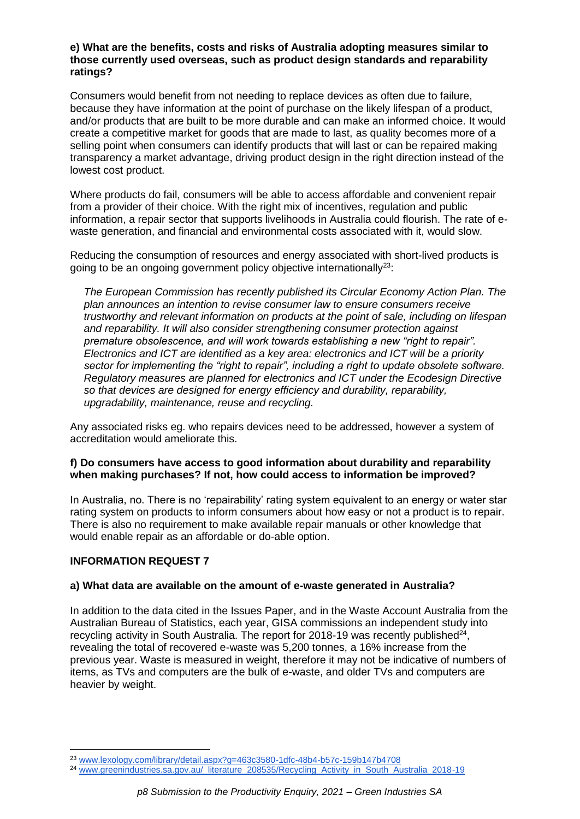#### **e) What are the benefits, costs and risks of Australia adopting measures similar to those currently used overseas, such as product design standards and reparability ratings?**

Consumers would benefit from not needing to replace devices as often due to failure, because they have information at the point of purchase on the likely lifespan of a product, and/or products that are built to be more durable and can make an informed choice. It would create a competitive market for goods that are made to last, as quality becomes more of a selling point when consumers can identify products that will last or can be repaired making transparency a market advantage, driving product design in the right direction instead of the lowest cost product.

Where products do fail, consumers will be able to access affordable and convenient repair from a provider of their choice. With the right mix of incentives, regulation and public information, a repair sector that supports livelihoods in Australia could flourish. The rate of ewaste generation, and financial and environmental costs associated with it, would slow.

Reducing the consumption of resources and energy associated with short-lived products is going to be an ongoing government policy objective internationally<sup>23</sup>:

*The European Commission has recently published its Circular Economy Action Plan. The plan announces an intention to revise consumer law to ensure consumers receive trustworthy and relevant information on products at the point of sale, including on lifespan and reparability. It will also consider strengthening consumer protection against premature obsolescence, and will work towards establishing a new "right to repair". Electronics and ICT are identified as a key area: electronics and ICT will be a priority sector for implementing the "right to repair", including a right to update obsolete software. Regulatory measures are planned for electronics and ICT under the Ecodesign Directive so that devices are designed for energy efficiency and durability, reparability, upgradability, maintenance, reuse and recycling.*

Any associated risks eg. who repairs devices need to be addressed, however a system of accreditation would ameliorate this.

## **f) Do consumers have access to good information about durability and reparability when making purchases? If not, how could access to information be improved?**

In Australia, no. There is no 'repairability' rating system equivalent to an energy or water star rating system on products to inform consumers about how easy or not a product is to repair. There is also no requirement to make available repair manuals or other knowledge that would enable repair as an affordable or do-able option.

## **INFORMATION REQUEST 7**

#### **a) What data are available on the amount of e-waste generated in Australia?**

In addition to the data cited in the Issues Paper, and in the Waste Account Australia from the Australian Bureau of Statistics, each year, GISA commissions an independent study into recycling activity in South Australia. The report for 2018-19 was recently published $^{24}$ , revealing the total of recovered e-waste was 5,200 tonnes, a 16% increase from the previous year. Waste is measured in weight, therefore it may not be indicative of numbers of items, as TVs and computers are the bulk of e-waste, and older TVs and computers are heavier by weight.

 $\overline{a}$ <sup>23</sup> [www.lexology.com/library/detail.aspx?g=463c3580-1dfc-48b4-b57c-159b147b4708](https://www.lexology.com/library/detail.aspx?g=463c3580-1dfc-48b4-b57c-159b147b4708)

<sup>&</sup>lt;sup>24</sup> [www.greenindustries.sa.gov.au/\\_literature\\_208535/Recycling\\_Activity\\_in\\_South\\_Australia\\_2018-19](https://www.greenindustries.sa.gov.au/_literature_208535/Recycling_Activity_in_South_Australia_2018-19)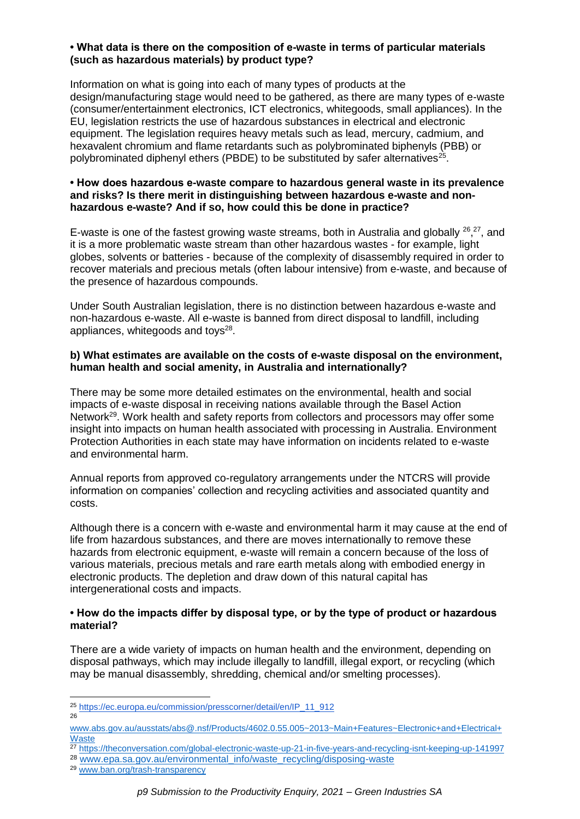## **• What data is there on the composition of e-waste in terms of particular materials (such as hazardous materials) by product type?**

Information on what is going into each of many types of products at the design/manufacturing stage would need to be gathered, as there are many types of e-waste (consumer/entertainment electronics, ICT electronics, whitegoods, small appliances). In the EU, legislation restricts the use of hazardous substances in electrical and electronic equipment. The legislation requires heavy metals such as lead, mercury, cadmium, and hexavalent chromium and flame retardants such as polybrominated biphenyls (PBB) or polybrominated diphenyl ethers (PBDE) to be substituted by safer alternatives $25$ .

#### **• How does hazardous e-waste compare to hazardous general waste in its prevalence and risks? Is there merit in distinguishing between hazardous e-waste and nonhazardous e-waste? And if so, how could this be done in practice?**

E-waste is one of the fastest growing waste streams, both in Australia and globally  $26,27$ , and it is a more problematic waste stream than other hazardous wastes - for example, light globes, solvents or batteries - because of the complexity of disassembly required in order to recover materials and precious metals (often labour intensive) from e-waste, and because of the presence of hazardous compounds.

Under South Australian legislation, there is no distinction between hazardous e-waste and non-hazardous e-waste. All e-waste is banned from direct disposal to landfill, including appliances, whitegoods and toys $28$ .

#### **b) What estimates are available on the costs of e-waste disposal on the environment, human health and social amenity, in Australia and internationally?**

There may be some more detailed estimates on the environmental, health and social impacts of e-waste disposal in receiving nations available through the Basel Action Network<sup>29</sup>. Work health and safety reports from collectors and processors may offer some insight into impacts on human health associated with processing in Australia. Environment Protection Authorities in each state may have information on incidents related to e-waste and environmental harm.

Annual reports from approved co-regulatory arrangements under the NTCRS will provide information on companies' collection and recycling activities and associated quantity and costs.

Although there is a concern with e-waste and environmental harm it may cause at the end of life from hazardous substances, and there are moves internationally to remove these hazards from electronic equipment, e-waste will remain a concern because of the loss of various materials, precious metals and rare earth metals along with embodied energy in electronic products. The depletion and draw down of this natural capital has intergenerational costs and impacts.

#### **• How do the impacts differ by disposal type, or by the type of product or hazardous material?**

There are a wide variety of impacts on human health and the environment, depending on disposal pathways, which may include illegally to landfill, illegal export, or recycling (which may be manual disassembly, shredding, chemical and/or smelting processes).

<sup>25</sup> [https://ec.europa.eu/commission/presscorner/detail/en/IP\\_11\\_912](https://ec.europa.eu/commission/presscorner/detail/en/IP_11_912) 26

[www.abs.gov.au/ausstats/abs@.nsf/Products/4602.0.55.005~2013~Main+Features~Electronic+and+Electrical+](http://www.abs.gov.au/ausstats/abs@.nsf/Products/4602.0.55.005~2013~Main+Features~Electronic+and+Electrical+Waste) **[Waste](http://www.abs.gov.au/ausstats/abs@.nsf/Products/4602.0.55.005~2013~Main+Features~Electronic+and+Electrical+Waste)** 

<sup>27</sup> <https://theconversation.com/global-electronic-waste-up-21-in-five-years-and-recycling-isnt-keeping-up-141997>

<sup>28</sup> [www.epa.sa.gov.au/environmental\\_info/waste\\_recycling/disposing-waste](http://www.epa.sa.gov.au/environmental_info/waste_recycling/disposing-waste)

<sup>29</sup> [www.ban.org/trash-transparency](http://www.ban.org/trash-transparency)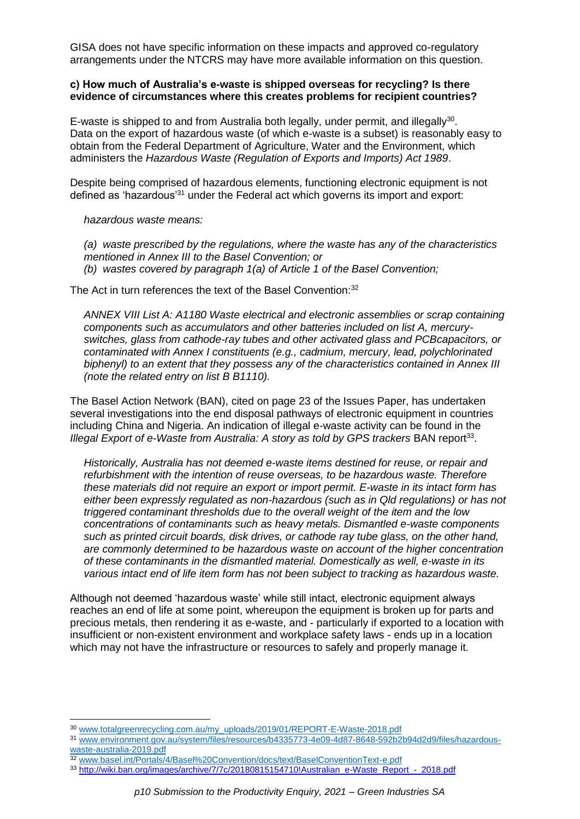GISA does not have specific information on these impacts and approved co-regulatory arrangements under the NTCRS may have more available information on this question.

#### **c) How much of Australia's e-waste is shipped overseas for recycling? Is there evidence of circumstances where this creates problems for recipient countries?**

E-waste is shipped to and from Australia both legally, under permit, and illegally<sup>30</sup>. Data on the export of hazardous waste (of which e-waste is a subset) is reasonably easy to obtain from the Federal Department of Agriculture, Water and the Environment, which administers the *Hazardous Waste (Regulation of Exports and Imports) Act 1989*.

Despite being comprised of hazardous elements, functioning electronic equipment is not defined as 'hazardous'<sup>31</sup> under the Federal act which governs its import and export:

*hazardous waste means:*

*(a) waste prescribed by the regulations, where the waste has any of the characteristics mentioned in Annex III to the Basel Convention; or (b) wastes covered by paragraph 1(a) of Article 1 of the Basel Convention;* 

The Act in turn references the text of the Basel Convention:<sup>32</sup>

*ANNEX VIII List A: A1180 Waste electrical and electronic assemblies or scrap containing components such as accumulators and other batteries included on list A, mercuryswitches, glass from cathode-ray tubes and other activated glass and PCBcapacitors, or contaminated with Annex I constituents (e.g., cadmium, mercury, lead, polychlorinated biphenyl) to an extent that they possess any of the characteristics contained in Annex III (note the related entry on list B B1110).*

The Basel Action Network (BAN), cited on page 23 of the Issues Paper, has undertaken several investigations into the end disposal pathways of electronic equipment in countries including China and Nigeria. An indication of illegal e-waste activity can be found in the Illegal Export of e-Waste from Australia: A story as told by GPS trackers BAN report<sup>33</sup>.

*Historically, Australia has not deemed e-waste items destined for reuse, or repair and refurbishment with the intention of reuse overseas, to be hazardous waste. Therefore these materials did not require an export or import permit. E-waste in its intact form has either been expressly regulated as non-hazardous (such as in Qld regulations) or has not triggered contaminant thresholds due to the overall weight of the item and the low concentrations of contaminants such as heavy metals. Dismantled e-waste components such as printed circuit boards, disk drives, or cathode ray tube glass, on the other hand, are commonly determined to be hazardous waste on account of the higher concentration of these contaminants in the dismantled material. Domestically as well, e-waste in its various intact end of life item form has not been subject to tracking as hazardous waste.*

Although not deemed 'hazardous waste' while still intact, electronic equipment always reaches an end of life at some point, whereupon the equipment is broken up for parts and precious metals, then rendering it as e-waste, and - particularly if exported to a location with insufficient or non-existent environment and workplace safety laws - ends up in a location which may not have the infrastructure or resources to safely and properly manage it.

**<sup>.</sup>** <sup>30</sup> [www.totalgreenrecycling.com.au/my\\_uploads/2019/01/REPORT-E-Waste-2018.pdf](http://www.totalgreenrecycling.com.au/my_uploads/2019/01/REPORT-E-Waste-2018.pdf)

<sup>31</sup> [www.environment.gov.au/system/files/resources/b4335773-4e09-4d87-8648-592b2b94d2d9/files/hazardous](http://www.environment.gov.au/system/files/resources/b4335773-4e09-4d87-8648-592b2b94d2d9/files/hazardous-waste-australia-2019.pdf)[waste-australia-2019.pdf](http://www.environment.gov.au/system/files/resources/b4335773-4e09-4d87-8648-592b2b94d2d9/files/hazardous-waste-australia-2019.pdf)

<sup>32</sup> [www.basel.int/Portals/4/Basel%20Convention/docs/text/BaselConventionText-e.pdf](http://www.basel.int/Portals/4/Basel%20Convention/docs/text/BaselConventionText-e.pdf) 

<sup>33</sup> [http://wiki.ban.org/images/archive/7/7c/20180815154710!Australian\\_e-Waste\\_Report\\_-\\_2018.pdf](http://wiki.ban.org/images/archive/7/7c/20180815154710!Australian_e-Waste_Report_-_2018.pdf)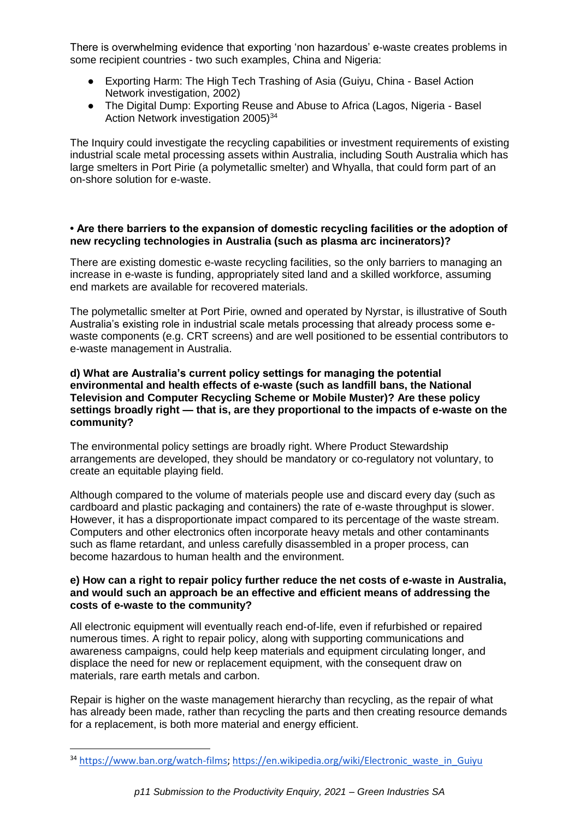There is overwhelming evidence that exporting 'non hazardous' e-waste creates problems in some recipient countries - two such examples, China and Nigeria:

- Exporting Harm: The High Tech Trashing of Asia (Guiyu, China Basel Action Network investigation, 2002)
- The Digital Dump: Exporting Reuse and Abuse to Africa (Lagos, Nigeria Basel Action Network investigation  $2005)^{34}$

The Inquiry could investigate the recycling capabilities or investment requirements of existing industrial scale metal processing assets within Australia, including South Australia which has large smelters in Port Pirie (a polymetallic smelter) and Whyalla, that could form part of an on-shore solution for e-waste.

#### **• Are there barriers to the expansion of domestic recycling facilities or the adoption of new recycling technologies in Australia (such as plasma arc incinerators)?**

There are existing domestic e-waste recycling facilities, so the only barriers to managing an increase in e-waste is funding, appropriately sited land and a skilled workforce, assuming end markets are available for recovered materials.

The polymetallic smelter at Port Pirie, owned and operated by Nyrstar, is illustrative of South Australia's existing role in industrial scale metals processing that already process some ewaste components (e.g. CRT screens) and are well positioned to be essential contributors to e-waste management in Australia.

#### **d) What are Australia's current policy settings for managing the potential environmental and health effects of e-waste (such as landfill bans, the National Television and Computer Recycling Scheme or Mobile Muster)? Are these policy settings broadly right — that is, are they proportional to the impacts of e-waste on the community?**

The environmental policy settings are broadly right. Where Product Stewardship arrangements are developed, they should be mandatory or co-regulatory not voluntary, to create an equitable playing field.

Although compared to the volume of materials people use and discard every day (such as cardboard and plastic packaging and containers) the rate of e-waste throughput is slower. However, it has a disproportionate impact compared to its percentage of the waste stream. Computers and other electronics often incorporate heavy metals and other contaminants such as flame retardant, and unless carefully disassembled in a proper process, can become hazardous to human health and the environment.

## **e) How can a right to repair policy further reduce the net costs of e-waste in Australia, and would such an approach be an effective and efficient means of addressing the costs of e-waste to the community?**

All electronic equipment will eventually reach end-of-life, even if refurbished or repaired numerous times. A right to repair policy, along with supporting communications and awareness campaigns, could help keep materials and equipment circulating longer, and displace the need for new or replacement equipment, with the consequent draw on materials, rare earth metals and carbon.

Repair is higher on the waste management hierarchy than recycling, as the repair of what has already been made, rather than recycling the parts and then creating resource demands for a replacement, is both more material and energy efficient.

<sup>34</sup> [https://www.ban.org/watch-films;](https://www.ban.org/watch-films) [https://en.wikipedia.org/wiki/Electronic\\_waste\\_in\\_Guiyu](https://en.wikipedia.org/wiki/Electronic_waste_in_Guiyu)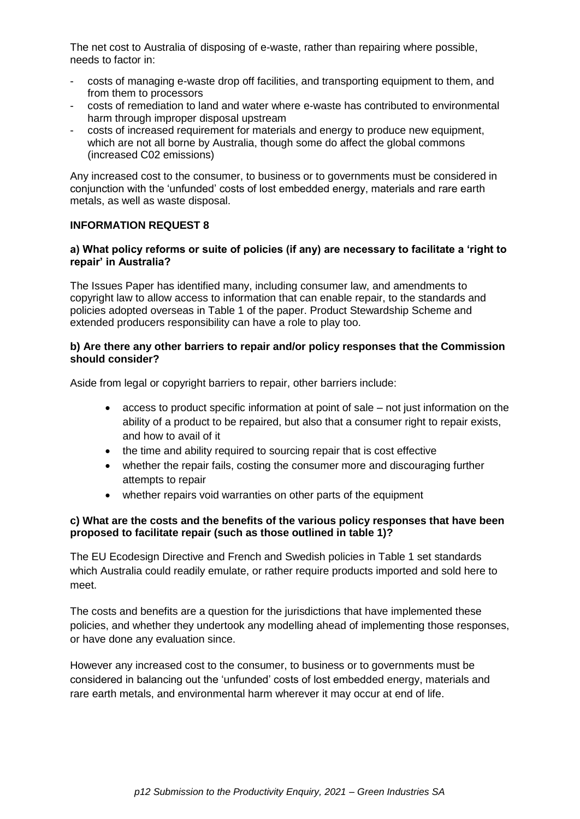The net cost to Australia of disposing of e-waste, rather than repairing where possible, needs to factor in:

- costs of managing e-waste drop off facilities, and transporting equipment to them, and from them to processors
- costs of remediation to land and water where e-waste has contributed to environmental harm through improper disposal upstream
- costs of increased requirement for materials and energy to produce new equipment, which are not all borne by Australia, though some do affect the global commons (increased C02 emissions)

Any increased cost to the consumer, to business or to governments must be considered in conjunction with the 'unfunded' costs of lost embedded energy, materials and rare earth metals, as well as waste disposal.

## **INFORMATION REQUEST 8**

### **a) What policy reforms or suite of policies (if any) are necessary to facilitate a 'right to repair' in Australia?**

The Issues Paper has identified many, including consumer law, and amendments to copyright law to allow access to information that can enable repair, to the standards and policies adopted overseas in Table 1 of the paper. Product Stewardship Scheme and extended producers responsibility can have a role to play too.

### **b) Are there any other barriers to repair and/or policy responses that the Commission should consider?**

Aside from legal or copyright barriers to repair, other barriers include:

- access to product specific information at point of sale not just information on the ability of a product to be repaired, but also that a consumer right to repair exists, and how to avail of it
- the time and ability required to sourcing repair that is cost effective
- whether the repair fails, costing the consumer more and discouraging further attempts to repair
- whether repairs void warranties on other parts of the equipment

## **c) What are the costs and the benefits of the various policy responses that have been proposed to facilitate repair (such as those outlined in table 1)?**

The EU Ecodesign Directive and French and Swedish policies in Table 1 set standards which Australia could readily emulate, or rather require products imported and sold here to meet.

The costs and benefits are a question for the jurisdictions that have implemented these policies, and whether they undertook any modelling ahead of implementing those responses, or have done any evaluation since.

However any increased cost to the consumer, to business or to governments must be considered in balancing out the 'unfunded' costs of lost embedded energy, materials and rare earth metals, and environmental harm wherever it may occur at end of life.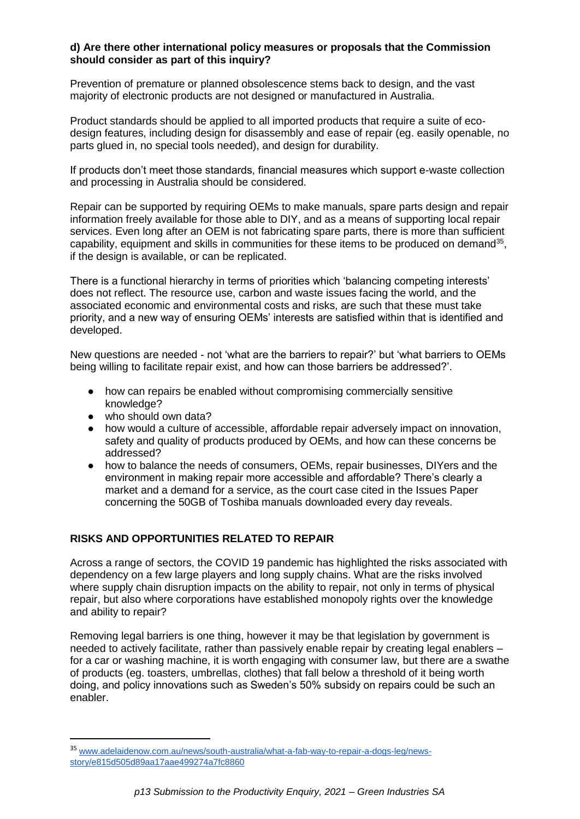## **d) Are there other international policy measures or proposals that the Commission should consider as part of this inquiry?**

Prevention of premature or planned obsolescence stems back to design, and the vast majority of electronic products are not designed or manufactured in Australia.

Product standards should be applied to all imported products that require a suite of ecodesign features, including design for disassembly and ease of repair (eg. easily openable, no parts glued in, no special tools needed), and design for durability.

If products don't meet those standards, financial measures which support e-waste collection and processing in Australia should be considered.

Repair can be supported by requiring OEMs to make manuals, spare parts design and repair information freely available for those able to DIY, and as a means of supporting local repair services. Even long after an OEM is not fabricating spare parts, there is more than sufficient capability, equipment and skills in communities for these items to be produced on demand<sup>35</sup>, if the design is available, or can be replicated.

There is a functional hierarchy in terms of priorities which 'balancing competing interests' does not reflect. The resource use, carbon and waste issues facing the world, and the associated economic and environmental costs and risks, are such that these must take priority, and a new way of ensuring OEMs' interests are satisfied within that is identified and developed.

New questions are needed - not 'what are the barriers to repair?' but 'what barriers to OEMs being willing to facilitate repair exist, and how can those barriers be addressed?'.

- how can repairs be enabled without compromising commercially sensitive knowledge?
- who should own data?

**.** 

- how would a culture of accessible, affordable repair adversely impact on innovation, safety and quality of products produced by OEMs, and how can these concerns be addressed?
- how to balance the needs of consumers, OEMs, repair businesses, DIYers and the environment in making repair more accessible and affordable? There's clearly a market and a demand for a service, as the court case cited in the Issues Paper concerning the 50GB of Toshiba manuals downloaded every day reveals.

#### **RISKS AND OPPORTUNITIES RELATED TO REPAIR**

Across a range of sectors, the COVID 19 pandemic has highlighted the risks associated with dependency on a few large players and long supply chains. What are the risks involved where supply chain disruption impacts on the ability to repair, not only in terms of physical repair, but also where corporations have established monopoly rights over the knowledge and ability to repair?

Removing legal barriers is one thing, however it may be that legislation by government is needed to actively facilitate, rather than passively enable repair by creating legal enablers – for a car or washing machine, it is worth engaging with consumer law, but there are a swathe of products (eg. toasters, umbrellas, clothes) that fall below a threshold of it being worth doing, and policy innovations such as Sweden's 50% subsidy on repairs could be such an enabler.

<sup>35</sup> [www.adelaidenow.com.au/news/south-australia/what-a-fab-way-to-repair-a-dogs-leg/news](https://www.adelaidenow.com.au/news/south-australia/what-a-fab-way-to-repair-a-dogs-leg/news-story/e815d505d89aa17aae499274a7fc8860)[story/e815d505d89aa17aae499274a7fc8860](https://www.adelaidenow.com.au/news/south-australia/what-a-fab-way-to-repair-a-dogs-leg/news-story/e815d505d89aa17aae499274a7fc8860)